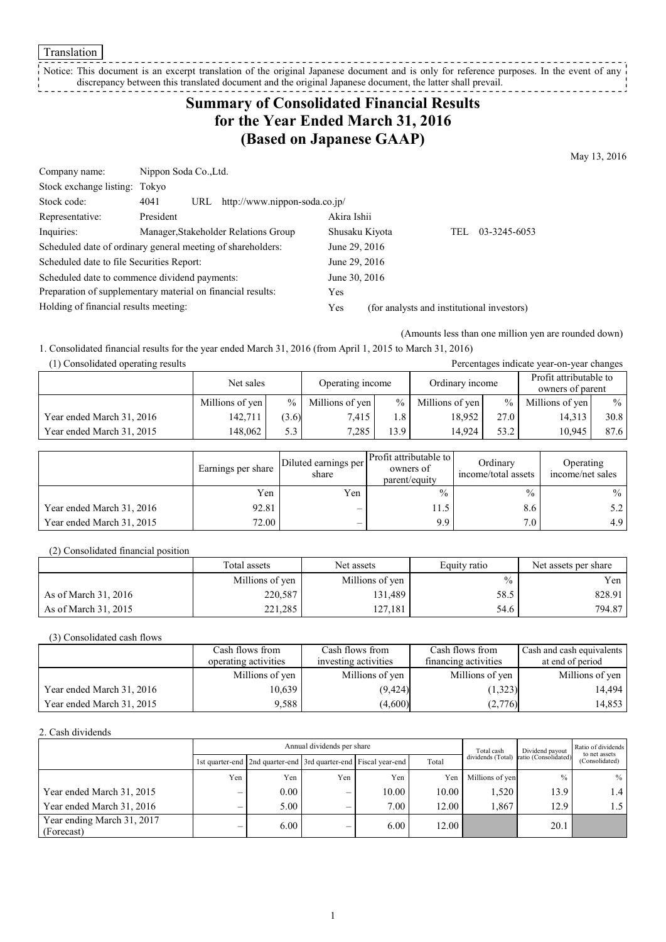Translation

Notice: This document is an excerpt translation of the original Japanese document and is only for reference purposes. In the event of any discrepancy between this translated document and the original Japanese document, the latter shall prevail. <u>--------------</u>

# **Summary of Consolidated Financial Results for the Year Ended March 31, 2016 (Based on Japanese GAAP)**

May 13, 2016

| Company name:                                               | Nippon Soda Co., Ltd. |                                      |                |                                            |      |              |
|-------------------------------------------------------------|-----------------------|--------------------------------------|----------------|--------------------------------------------|------|--------------|
| Stock exchange listing: Tokyo                               |                       |                                      |                |                                            |      |              |
| Stock code:                                                 | 4041<br>URL           | http://www.nippon-soda.co.jp/        |                |                                            |      |              |
| Representative:                                             | President             |                                      | Akira Ishii    |                                            |      |              |
| Inquiries:                                                  |                       | Manager, Stakeholder Relations Group | Shusaku Kiyota |                                            | TEL. | 03-3245-6053 |
| Scheduled date of ordinary general meeting of shareholders: |                       |                                      | June 29, 2016  |                                            |      |              |
| Scheduled date to file Securities Report:                   |                       |                                      | June 29, 2016  |                                            |      |              |
| Scheduled date to commence dividend payments:               |                       |                                      | June 30, 2016  |                                            |      |              |
| Preparation of supplementary material on financial results: |                       |                                      | <b>Yes</b>     |                                            |      |              |
| Holding of financial results meeting:                       |                       |                                      | Yes            | (for analysts and institutional investors) |      |              |

(Amounts less than one million yen are rounded down)

1. Consolidated financial results for the year ended March 31, 2016 (from April 1, 2015 to March 31, 2016)

| (1) Consolidated operating results<br>Percentages indicate year-on-year changes |                 |       |                  |               |                 |               |                                            |      |
|---------------------------------------------------------------------------------|-----------------|-------|------------------|---------------|-----------------|---------------|--------------------------------------------|------|
|                                                                                 | Net sales       |       | Operating income |               | Ordinary income |               | Profit attributable to<br>owners of parent |      |
|                                                                                 | Millions of yen | $\%$  | Millions of yen  | $\frac{0}{0}$ | Millions of yen | $\frac{9}{6}$ | Millions of yen                            | $\%$ |
| Year ended March 31, 2016                                                       | 142.711         | (3.6) | 7.415            | 1.8           | 18.952          | 27.0          | 14,313                                     | 30.8 |
| Year ended March 31, 2015                                                       | 148.062         | 5.3   | 7.285            | 13.9          | 14.924          | 53.2          | 10.945                                     | 87.6 |

|                           | Earnings per share | Diluted earnings per<br>share | Profit attributable to<br>owners of<br>parent/equity | Ordinary<br>income/total assets | Operating<br>income/net sales |
|---------------------------|--------------------|-------------------------------|------------------------------------------------------|---------------------------------|-------------------------------|
|                           | Yen                | Yen                           | $\%$                                                 | $\frac{0}{0}$                   | $\%$                          |
| Year ended March 31, 2016 | 92.81              | $\overline{\phantom{m}}$      | 11.5                                                 | 8.6                             | 5.2                           |
| Year ended March 31, 2015 | 72.00              | $\overline{\phantom{m}}$      | 9.9                                                  | 7.0                             | 4.9                           |

(2) Consolidated financial position

|                      | Total assets    | Net assets      | Equity ratio  | Net assets per share |
|----------------------|-----------------|-----------------|---------------|----------------------|
|                      | Millions of yen | Millions of yen | $\frac{0}{0}$ | Yen                  |
| As of March 31, 2016 | 220,587         | 131,489         | 58.5          | 828.91               |
| As of March 31, 2015 | 221.285         | 127.181         | 54.6          | 794.87               |

(3) Consolidated cash flows

|                           | Cash flows from      | Cash flows from      | Cash flows from      | Cash and cash equivalents |
|---------------------------|----------------------|----------------------|----------------------|---------------------------|
|                           | operating activities | investing activities | financing activities | at end of period          |
|                           | Millions of yen      | Millions of yen      | Millions of yen      | Millions of yen           |
| Year ended March 31, 2016 | 10.639               | (9, 424)             | (1,323)              | 14.494                    |
| Year ended March 31, 2015 | 9.588                | (4,600)              | (2,776)              | 14,853                    |

2. Cash dividends

|                                          |     | Annual dividends per share                                            |     |                   |       |                 | Dividend payout                        | Ratio of dividends<br>to net assets |
|------------------------------------------|-----|-----------------------------------------------------------------------|-----|-------------------|-------|-----------------|----------------------------------------|-------------------------------------|
|                                          |     | 1st quarter-end   2nd quarter-end   3rd quarter-end   Fiscal year-end |     |                   | Total |                 | dividends (Total) ratio (Consolidated) | (Consolidated)                      |
|                                          | Yen | Yen                                                                   | Yen | Yen               | Yen   | Millions of yen | $\frac{0}{0}$                          | $\frac{0}{0}$                       |
| Year ended March 31, 2015                |     | 0.00                                                                  | -   | 10.00             | 10.00 | .520            | 13.9                                   |                                     |
| Year ended March 31, 2016                | -   | 5.00                                                                  | -   | 7.00 <sub>1</sub> | 12.00 | 1.867           | 12.9                                   |                                     |
| Year ending March 31, 2017<br>(Forecast) |     | 6.00                                                                  | -   | 6.00              | 12.00 |                 | 20.1                                   |                                     |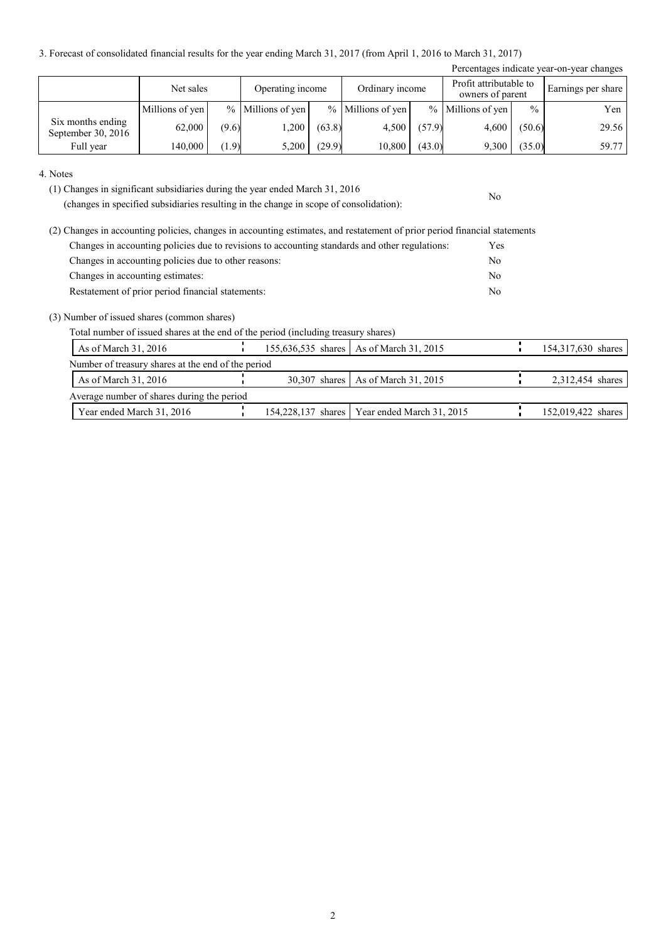3. Forecast of consolidated financial results for the year ending March 31, 2017 (from April 1, 2016 to March 31, 2017)

|                                         |                 |       |                     |        |                     |        |                                            |               | Percentages indicate year-on-year changes |
|-----------------------------------------|-----------------|-------|---------------------|--------|---------------------|--------|--------------------------------------------|---------------|-------------------------------------------|
|                                         | Net sales       |       | Operating income    |        | Ordinary income     |        | Profit attributable to<br>owners of parent |               | Earnings per share                        |
|                                         | Millions of yen |       | $%$ Millions of yen |        | $%$ Millions of yen |        | % Millions of yen                          | $\frac{0}{0}$ | Yen                                       |
| Six months ending<br>September 30, 2016 | 62,000          | (9.6) | ,200                | (63.8) | 4,500               | (57.9) | 4.600                                      | (50.6)        | 29.56                                     |
| Full year                               | 140,000         | (1.9) | 5,200               | (29.9) | 10,800              | (43.0) | 9,300                                      | (35.0)        | 59.77                                     |

No

4. Notes

(1) Changes in significant subsidiaries during the year ended March 31, 2016

(changes in specified subsidiaries resulting in the change in scope of consolidation):

| (2) Changes in accounting policies, changes in accounting estimates, and restatement of prior period financial statements |                |
|---------------------------------------------------------------------------------------------------------------------------|----------------|
| Changes in accounting policies due to revisions to accounting standards and other regulations:                            | Yes            |
| Changes in accounting policies due to other reasons:                                                                      | No             |
| Changes in accounting estimates:                                                                                          | N <sub>0</sub> |
| Restatement of prior period financial statements:                                                                         | No             |

(3) Number of issued shares (common shares)

Total number of issued shares at the end of the period (including treasury shares)

| As of March $31, 2016$                             |  | 155,636,535 shares   As of March 31, 2015      | 154,317,630 shares |
|----------------------------------------------------|--|------------------------------------------------|--------------------|
| Number of treasury shares at the end of the period |  |                                                |                    |
| As of March $31, 2016$                             |  | 30,307 shares   As of March 31, 2015           | 2,312,454 shares   |
| Average number of shares during the period         |  |                                                |                    |
| Year ended March 31, 2016                          |  | 154,228,137 shares   Year ended March 31, 2015 | 152,019,422 shares |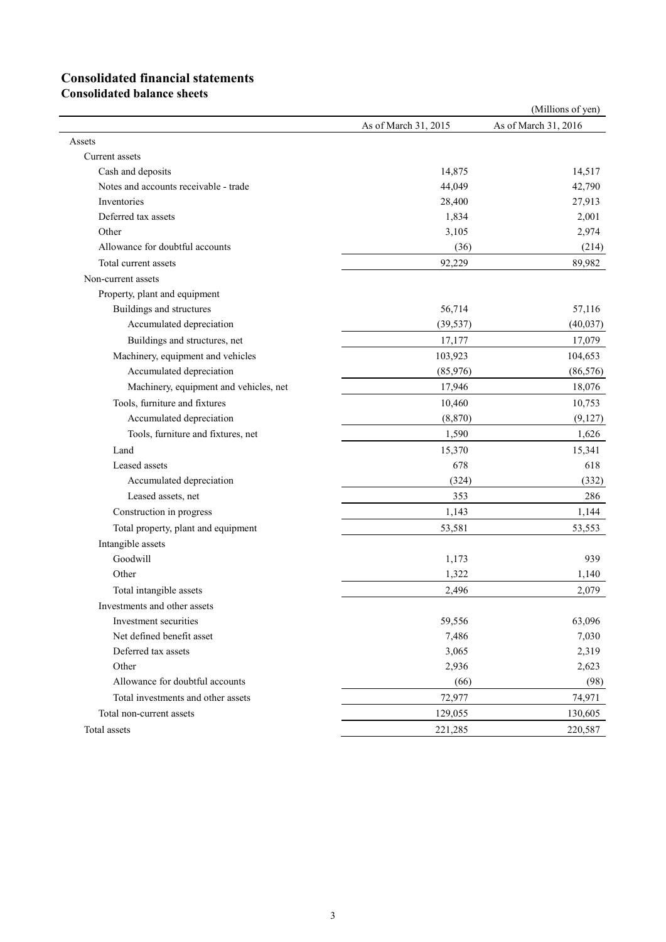# **Consolidated financial statements**

**Consolidated balance sheets**

|                                        |                      | (Millions of yen)    |
|----------------------------------------|----------------------|----------------------|
|                                        | As of March 31, 2015 | As of March 31, 2016 |
| Assets                                 |                      |                      |
| Current assets                         |                      |                      |
| Cash and deposits                      | 14,875               | 14,517               |
| Notes and accounts receivable - trade  | 44,049               | 42,790               |
| Inventories                            | 28,400               | 27,913               |
| Deferred tax assets                    | 1,834                | 2,001                |
| Other                                  | 3,105                | 2,974                |
| Allowance for doubtful accounts        | (36)                 | (214)                |
| Total current assets                   | 92,229               | 89,982               |
| Non-current assets                     |                      |                      |
| Property, plant and equipment          |                      |                      |
| Buildings and structures               | 56,714               | 57,116               |
| Accumulated depreciation               | (39, 537)            | (40, 037)            |
| Buildings and structures, net          | 17,177               | 17,079               |
| Machinery, equipment and vehicles      | 103,923              | 104,653              |
| Accumulated depreciation               | (85,976)             | (86, 576)            |
| Machinery, equipment and vehicles, net | 17,946               | 18,076               |
| Tools, furniture and fixtures          | 10,460               | 10,753               |
| Accumulated depreciation               | (8, 870)             | (9,127)              |
| Tools, furniture and fixtures, net     | 1,590                | 1,626                |
| Land                                   | 15,370               | 15,341               |
| Leased assets                          | 678                  | 618                  |
| Accumulated depreciation               | (324)                | (332)                |
| Leased assets, net                     | 353                  | 286                  |
| Construction in progress               | 1,143                | 1,144                |
| Total property, plant and equipment    | 53,581               | 53,553               |
| Intangible assets                      |                      |                      |
| Goodwill                               | 1,173                | 939                  |
| Other                                  | 1,322                | 1,140                |
| Total intangible assets                | 2,496                | 2,079                |
| Investments and other assets           |                      |                      |
| Investment securities                  | 59,556               | 63,096               |
| Net defined benefit asset              | 7,486                | 7,030                |
| Deferred tax assets                    | 3,065                | 2,319                |
| Other                                  | 2,936                | 2,623                |
| Allowance for doubtful accounts        | (66)                 | (98)                 |
| Total investments and other assets     | 72,977               | 74,971               |
| Total non-current assets               | 129,055              | 130,605              |
| Total assets                           | 221,285              | 220,587              |
|                                        |                      |                      |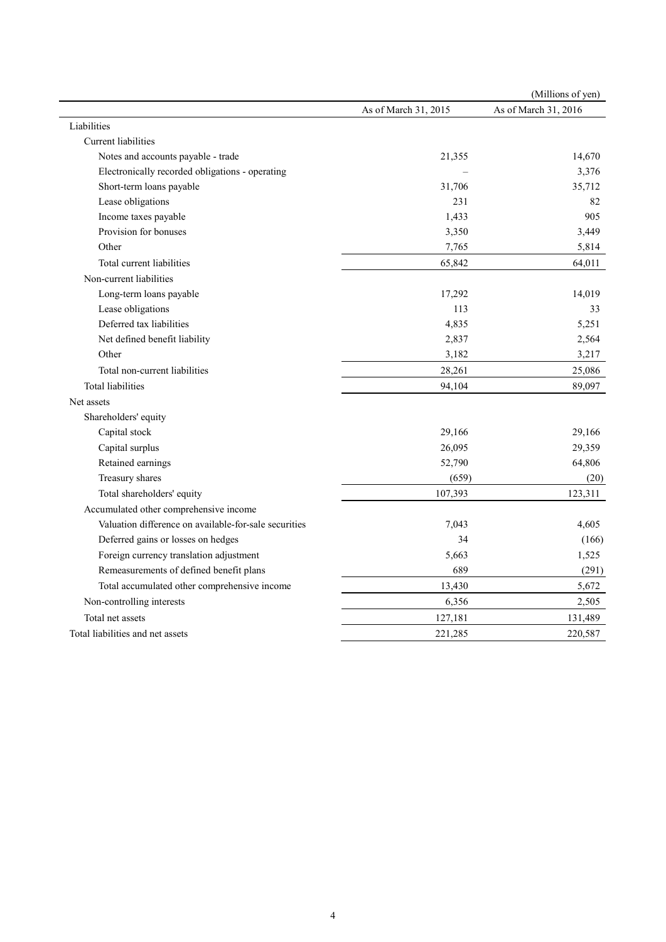|                                                       |                      | (Millions of yen)    |
|-------------------------------------------------------|----------------------|----------------------|
|                                                       | As of March 31, 2015 | As of March 31, 2016 |
| Liabilities                                           |                      |                      |
| Current liabilities                                   |                      |                      |
| Notes and accounts payable - trade                    | 21,355               | 14,670               |
| Electronically recorded obligations - operating       |                      | 3,376                |
| Short-term loans payable                              | 31,706               | 35,712               |
| Lease obligations                                     | 231                  | 82                   |
| Income taxes payable                                  | 1,433                | 905                  |
| Provision for bonuses                                 | 3,350                | 3,449                |
| Other                                                 | 7,765                | 5,814                |
| Total current liabilities                             | 65,842               | 64,011               |
| Non-current liabilities                               |                      |                      |
| Long-term loans payable                               | 17,292               | 14,019               |
| Lease obligations                                     | 113                  | 33                   |
| Deferred tax liabilities                              | 4,835                | 5,251                |
| Net defined benefit liability                         | 2,837                | 2,564                |
| Other                                                 | 3,182                | 3,217                |
| Total non-current liabilities                         | 28,261               | 25,086               |
| <b>Total liabilities</b>                              | 94,104               | 89,097               |
| Net assets                                            |                      |                      |
| Shareholders' equity                                  |                      |                      |
| Capital stock                                         | 29,166               | 29,166               |
| Capital surplus                                       | 26,095               | 29,359               |
| Retained earnings                                     | 52,790               | 64,806               |
| Treasury shares                                       | (659)                | (20)                 |
| Total shareholders' equity                            | 107,393              | 123,311              |
| Accumulated other comprehensive income                |                      |                      |
| Valuation difference on available-for-sale securities | 7,043                | 4,605                |
| Deferred gains or losses on hedges                    | 34                   | (166)                |
| Foreign currency translation adjustment               | 5,663                | 1,525                |
| Remeasurements of defined benefit plans               | 689                  | (291)                |
| Total accumulated other comprehensive income          | 13,430               | 5,672                |
| Non-controlling interests                             | 6,356                | 2,505                |
| Total net assets                                      | 127,181              | 131,489              |
| Total liabilities and net assets                      | 221,285              | 220,587              |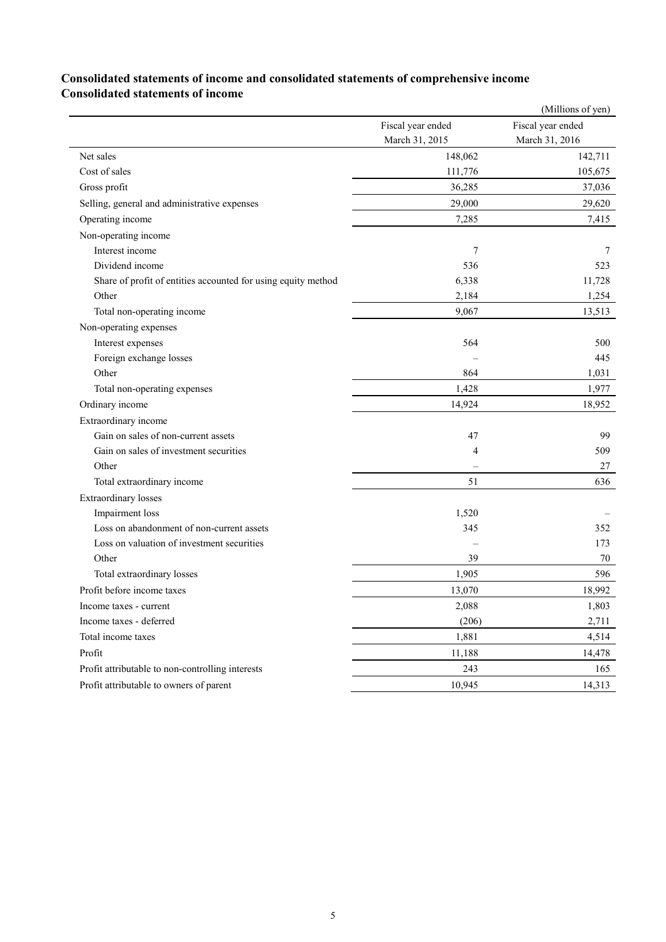### **Consolidated statements of income and consolidated statements of comprehensive income Consolidated statements of income**

|                                                               |                   | (Millions of yen) |
|---------------------------------------------------------------|-------------------|-------------------|
|                                                               | Fiscal year ended | Fiscal year ended |
|                                                               | March 31, 2015    | March 31, 2016    |
| Net sales                                                     | 148,062           | 142,711           |
| Cost of sales                                                 | 111,776           | 105,675           |
| Gross profit                                                  | 36,285            | 37,036            |
| Selling, general and administrative expenses                  | 29,000            | 29,620            |
| Operating income                                              | 7,285             | 7,415             |
| Non-operating income                                          |                   |                   |
| Interest income                                               | 7                 | 7                 |
| Dividend income                                               | 536               | 523               |
| Share of profit of entities accounted for using equity method | 6,338             | 11,728            |
| Other                                                         | 2,184             | 1,254             |
| Total non-operating income                                    | 9,067             | 13,513            |
| Non-operating expenses                                        |                   |                   |
| Interest expenses                                             | 564               | 500               |
| Foreign exchange losses                                       |                   | 445               |
| Other                                                         | 864               | 1,031             |
| Total non-operating expenses                                  | 1,428             | 1,977             |
| Ordinary income                                               | 14,924            | 18,952            |
| Extraordinary income                                          |                   |                   |
| Gain on sales of non-current assets                           | 47                | 99                |
| Gain on sales of investment securities                        | 4                 | 509               |
| Other                                                         |                   | 27                |
| Total extraordinary income                                    | 51                | 636               |
| <b>Extraordinary losses</b>                                   |                   |                   |
| Impairment loss                                               | 1,520             |                   |
| Loss on abandonment of non-current assets                     | 345               | 352               |
| Loss on valuation of investment securities                    |                   | 173               |
| Other                                                         | 39                | 70                |
| Total extraordinary losses                                    | 1,905             | 596               |
| Profit before income taxes                                    | 13,070            | 18,992            |
| Income taxes - current                                        | 2,088             | 1,803             |
| Income taxes - deferred                                       | (206)             | 2,711             |
| Total income taxes                                            | 1,881             | 4,514             |
| Profit                                                        | 11,188            | 14,478            |
| Profit attributable to non-controlling interests              | 243               | 165               |
| Profit attributable to owners of parent                       | 10,945            | 14,313            |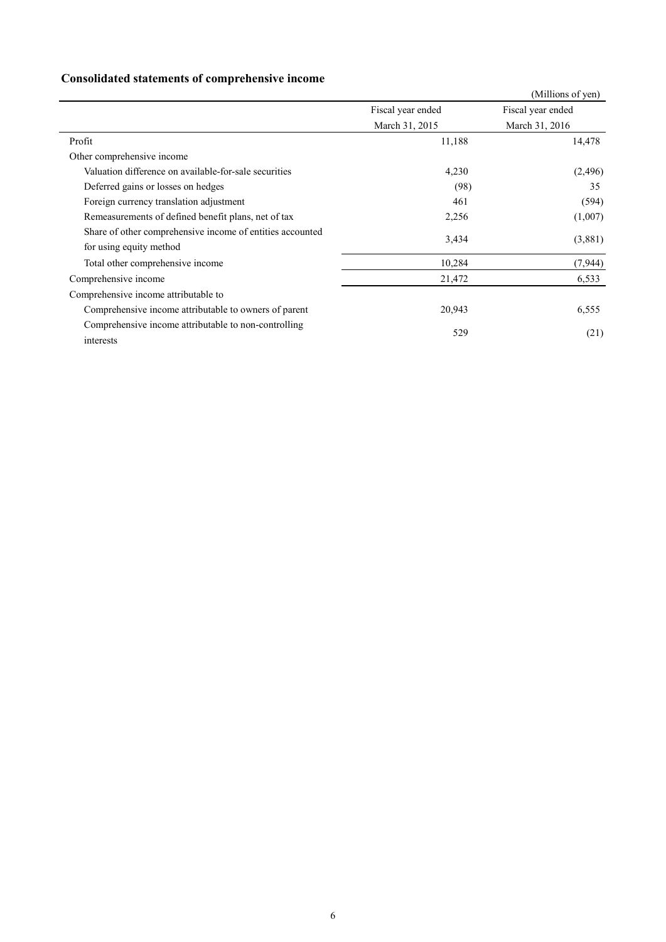## **Consolidated statements of comprehensive income**

|                                                                                      |                   | (Millions of yen) |  |
|--------------------------------------------------------------------------------------|-------------------|-------------------|--|
|                                                                                      | Fiscal year ended | Fiscal year ended |  |
|                                                                                      | March 31, 2015    | March 31, 2016    |  |
| Profit                                                                               | 11,188            | 14,478            |  |
| Other comprehensive income                                                           |                   |                   |  |
| Valuation difference on available-for-sale securities                                | 4,230             | (2,496)           |  |
| Deferred gains or losses on hedges                                                   | (98)              | 35                |  |
| Foreign currency translation adjustment                                              | 461               | (594)             |  |
| Remeasurements of defined benefit plans, net of tax                                  | 2,256             | (1,007)           |  |
| Share of other comprehensive income of entities accounted<br>for using equity method | 3,434             | (3,881)           |  |
| Total other comprehensive income                                                     | 10,284            | (7, 944)          |  |
| Comprehensive income                                                                 | 21,472            | 6,533             |  |
| Comprehensive income attributable to                                                 |                   |                   |  |
| Comprehensive income attributable to owners of parent                                | 20,943            | 6,555             |  |
| Comprehensive income attributable to non-controlling<br>interests                    | 529               | (21)              |  |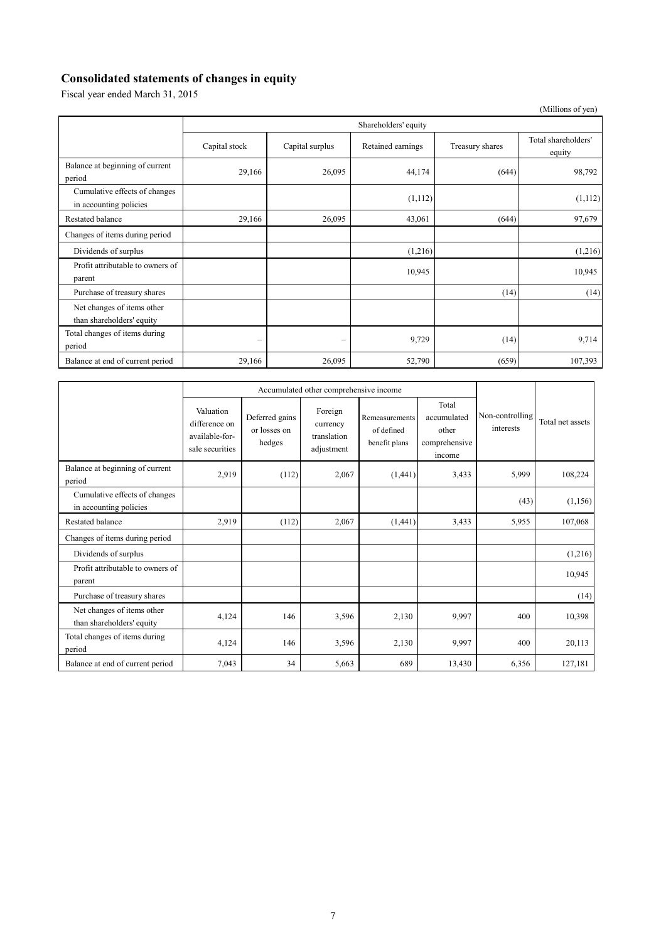## **Consolidated statements of changes in equity**

Fiscal year ended March 31, 2015

|                                                         |                          |                 |                   |                 | (Millions of yen)             |  |  |
|---------------------------------------------------------|--------------------------|-----------------|-------------------|-----------------|-------------------------------|--|--|
|                                                         | Shareholders' equity     |                 |                   |                 |                               |  |  |
|                                                         | Capital stock            | Capital surplus | Retained earnings | Treasury shares | Total shareholders'<br>equity |  |  |
| Balance at beginning of current<br>period               | 29,166                   | 26,095          | 44,174            | (644)           | 98,792                        |  |  |
| Cumulative effects of changes<br>in accounting policies |                          |                 | (1,112)           |                 | (1,112)                       |  |  |
| Restated balance                                        | 29,166                   | 26,095          | 43,061            | (644)           | 97,679                        |  |  |
| Changes of items during period                          |                          |                 |                   |                 |                               |  |  |
| Dividends of surplus                                    |                          |                 | (1,216)           |                 | (1,216)                       |  |  |
| Profit attributable to owners of<br>parent              |                          |                 | 10,945            |                 | 10,945                        |  |  |
| Purchase of treasury shares                             |                          |                 |                   | (14)            | (14)                          |  |  |
| Net changes of items other<br>than shareholders' equity |                          |                 |                   |                 |                               |  |  |
| Total changes of items during<br>period                 | $\overline{\phantom{0}}$ | -               | 9,729             | (14)            | 9,714                         |  |  |
| Balance at end of current period                        | 29,166                   | 26,095          | 52,790            | (659)           | 107,393                       |  |  |

|                                                         | Accumulated other comprehensive income                          |                                          |                                                  |                                               |                                                          |                              |                  |
|---------------------------------------------------------|-----------------------------------------------------------------|------------------------------------------|--------------------------------------------------|-----------------------------------------------|----------------------------------------------------------|------------------------------|------------------|
|                                                         | Valuation<br>difference on<br>available-for-<br>sale securities | Deferred gains<br>or losses on<br>hedges | Foreign<br>currency<br>translation<br>adjustment | Remeasurements<br>of defined<br>benefit plans | Total<br>accumulated<br>other<br>comprehensive<br>income | Non-controlling<br>interests | Total net assets |
| Balance at beginning of current<br>period               | 2,919                                                           | (112)                                    | 2,067                                            | (1,441)                                       | 3,433                                                    | 5,999                        | 108,224          |
| Cumulative effects of changes<br>in accounting policies |                                                                 |                                          |                                                  |                                               |                                                          | (43)                         | (1,156)          |
| Restated balance                                        | 2,919                                                           | (112)                                    | 2,067                                            | (1,441)                                       | 3,433                                                    | 5,955                        | 107,068          |
| Changes of items during period                          |                                                                 |                                          |                                                  |                                               |                                                          |                              |                  |
| Dividends of surplus                                    |                                                                 |                                          |                                                  |                                               |                                                          |                              | (1,216)          |
| Profit attributable to owners of<br>parent              |                                                                 |                                          |                                                  |                                               |                                                          |                              | 10,945           |
| Purchase of treasury shares                             |                                                                 |                                          |                                                  |                                               |                                                          |                              | (14)             |
| Net changes of items other<br>than shareholders' equity | 4,124                                                           | 146                                      | 3,596                                            | 2,130                                         | 9,997                                                    | 400                          | 10,398           |
| Total changes of items during<br>period                 | 4,124                                                           | 146                                      | 3,596                                            | 2,130                                         | 9,997                                                    | 400                          | 20,113           |
| Balance at end of current period                        | 7.043                                                           | 34                                       | 5,663                                            | 689                                           | 13,430                                                   | 6,356                        | 127,181          |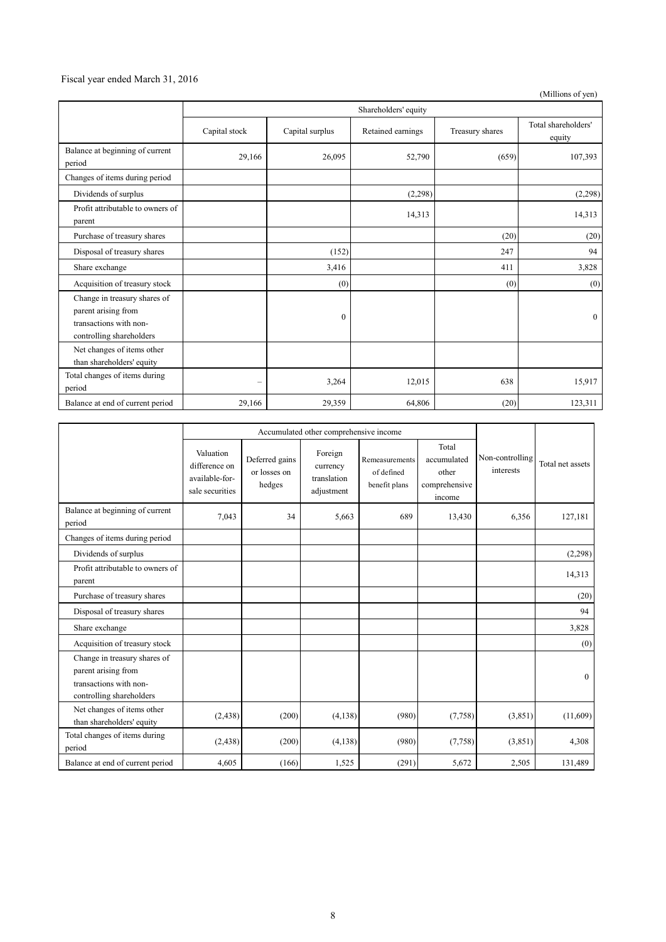#### Fiscal year ended March 31, 2016

(Millions of yen)

|                                                                                                           | Shareholders' equity |                 |                   |                 |                               |  |  |
|-----------------------------------------------------------------------------------------------------------|----------------------|-----------------|-------------------|-----------------|-------------------------------|--|--|
|                                                                                                           | Capital stock        | Capital surplus | Retained earnings | Treasury shares | Total shareholders'<br>equity |  |  |
| Balance at beginning of current<br>period                                                                 | 29,166               | 26,095          | 52,790            | (659)           | 107,393                       |  |  |
| Changes of items during period                                                                            |                      |                 |                   |                 |                               |  |  |
| Dividends of surplus                                                                                      |                      |                 | (2,298)           |                 | (2,298)                       |  |  |
| Profit attributable to owners of<br>parent                                                                |                      |                 | 14,313            |                 | 14,313                        |  |  |
| Purchase of treasury shares                                                                               |                      |                 |                   | (20)            | (20)                          |  |  |
| Disposal of treasury shares                                                                               |                      | (152)           |                   | 247             | 94                            |  |  |
| Share exchange                                                                                            |                      | 3,416           |                   | 411             | 3,828                         |  |  |
| Acquisition of treasury stock                                                                             |                      | (0)             |                   | (0)             | (0)                           |  |  |
| Change in treasury shares of<br>parent arising from<br>transactions with non-<br>controlling shareholders |                      | $\mathbf{0}$    |                   |                 | $\theta$                      |  |  |
| Net changes of items other<br>than shareholders' equity                                                   |                      |                 |                   |                 |                               |  |  |
| Total changes of items during<br>period                                                                   | -                    | 3,264           | 12,015            | 638             | 15,917                        |  |  |
| Balance at end of current period                                                                          | 29,166               | 29,359          | 64,806            | (20)            | 123,311                       |  |  |

|                                                                                                           | Accumulated other comprehensive income                          |                                          |                                                  |                                               |                                                          |                              |                  |
|-----------------------------------------------------------------------------------------------------------|-----------------------------------------------------------------|------------------------------------------|--------------------------------------------------|-----------------------------------------------|----------------------------------------------------------|------------------------------|------------------|
|                                                                                                           | Valuation<br>difference on<br>available-for-<br>sale securities | Deferred gains<br>or losses on<br>hedges | Foreign<br>currency<br>translation<br>adjustment | Remeasurements<br>of defined<br>benefit plans | Total<br>accumulated<br>other<br>comprehensive<br>income | Non-controlling<br>interests | Total net assets |
| Balance at beginning of current<br>period                                                                 | 7,043                                                           | 34                                       | 5,663                                            | 689                                           | 13,430                                                   | 6,356                        | 127,181          |
| Changes of items during period                                                                            |                                                                 |                                          |                                                  |                                               |                                                          |                              |                  |
| Dividends of surplus                                                                                      |                                                                 |                                          |                                                  |                                               |                                                          |                              | (2, 298)         |
| Profit attributable to owners of<br>parent                                                                |                                                                 |                                          |                                                  |                                               |                                                          |                              | 14,313           |
| Purchase of treasury shares                                                                               |                                                                 |                                          |                                                  |                                               |                                                          |                              | (20)             |
| Disposal of treasury shares                                                                               |                                                                 |                                          |                                                  |                                               |                                                          |                              | 94               |
| Share exchange                                                                                            |                                                                 |                                          |                                                  |                                               |                                                          |                              | 3,828            |
| Acquisition of treasury stock                                                                             |                                                                 |                                          |                                                  |                                               |                                                          |                              | (0)              |
| Change in treasury shares of<br>parent arising from<br>transactions with non-<br>controlling shareholders |                                                                 |                                          |                                                  |                                               |                                                          |                              | $\theta$         |
| Net changes of items other<br>than shareholders' equity                                                   | (2, 438)                                                        | (200)                                    | (4,138)                                          | (980)                                         | (7,758)                                                  | (3,851)                      | (11,609)         |
| Total changes of items during<br>period                                                                   | (2, 438)                                                        | (200)                                    | (4,138)                                          | (980)                                         | (7,758)                                                  | (3,851)                      | 4,308            |
| Balance at end of current period                                                                          | 4,605                                                           | (166)                                    | 1,525                                            | (291)                                         | 5,672                                                    | 2,505                        | 131,489          |